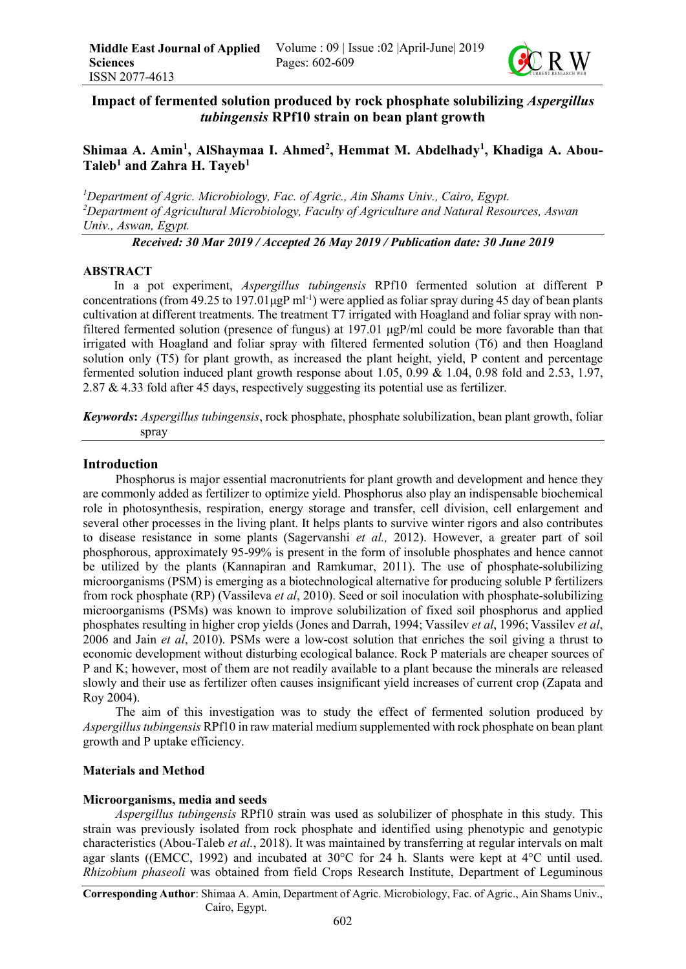

# Impact of fermented solution produced by rock phosphate solubilizing *Aspergillus tubingensis* RPf10 strain on bean plant growth

# Shimaa A. Amin<sup>1</sup>, AlShaymaa I. Ahmed<sup>2</sup>, Hemmat M. Abdelhady<sup>1</sup>, Khadiga A. Abou-Taleb<sup>1</sup> and Zahra H. Tayeb<sup>1</sup>

*1 Department of Agric. Microbiology, Fac. of Agric., Ain Shams Univ., Cairo, Egypt. 2 Department of Agricultural Microbiology, Faculty of Agriculture and Natural Resources, Aswan Univ., Aswan, Egypt.*

*Received: 30 Mar 2019 / Accepted 26 May 2019 / Publication date: 30 June 2019*

## ABSTRACT

In a pot experiment, *Aspergillus tubingensis* RPf10 fermented solution at different P concentrations (from 49.25 to 197.01 $\mu$ gP ml<sup>-1</sup>) were applied as foliar spray during 45 day of bean plants cultivation at different treatments. The treatment T7 irrigated with Hoagland and foliar spray with nonfiltered fermented solution (presence of fungus) at 197.01 μgP/ml could be more favorable than that irrigated with Hoagland and foliar spray with filtered fermented solution (T6) and then Hoagland solution only (T5) for plant growth, as increased the plant height, yield, P content and percentage fermented solution induced plant growth response about 1.05, 0.99 & 1.04, 0.98 fold and 2.53, 1.97, 2.87 & 4.33 fold after 45 days, respectively suggesting its potential use as fertilizer.

*Keywords*: *Aspergillus tubingensis*, rock phosphate, phosphate solubilization, bean plant growth, foliar spray

#### Introduction

Phosphorus is major essential macronutrients for plant growth and development and hence they are commonly added as fertilizer to optimize yield. Phosphorus also play an indispensable biochemical role in photosynthesis, respiration, energy storage and transfer, cell division, cell enlargement and several other processes in the living plant. It helps plants to survive winter rigors and also contributes to disease resistance in some plants (Sagervanshi *et al.,* 2012). However, a greater part of soil phosphorous, approximately 95-99% is present in the form of insoluble phosphates and hence cannot be utilized by the plants (Kannapiran and Ramkumar, 2011). The use of phosphate-solubilizing microorganisms (PSM) is emerging as a biotechnological alternative for producing soluble P fertilizers from rock phosphate (RP) (Vassileva *et al*, 2010). Seed or soil inoculation with phosphate-solubilizing microorganisms (PSMs) was known to improve solubilization of fixed soil phosphorus and applied phosphates resulting in higher crop yields (Jones and Darrah, 1994; Vassilev *et al*, 1996; Vassilev *et al*, 2006 and Jain *et al*, 2010). PSMs were a low-cost solution that enriches the soil giving a thrust to economic development without disturbing ecological balance. Rock P materials are cheaper sources of P and K; however, most of them are not readily available to a plant because the minerals are released slowly and their use as fertilizer often causes insignificant yield increases of current crop (Zapata and Roy 2004).

The aim of this investigation was to study the effect of fermented solution produced by *Aspergillus tubingensis* RPf10 in raw material medium supplemented with rock phosphate on bean plant growth and P uptake efficiency.

## Materials and Method

#### Microorganisms, media and seeds

*Aspergillus tubingensis* RPf10 strain was used as solubilizer of phosphate in this study. This strain was previously isolated from rock phosphate and identified using phenotypic and genotypic characteristics (Abou-Taleb *et al.*, 2018). It was maintained by transferring at regular intervals on malt agar slants ((EMCC, 1992) and incubated at 30°C for 24 h. Slants were kept at 4°C until used. *Rhizobium phaseoli* was obtained from field Crops Research Institute, Department of Leguminous

Corresponding Author: Shimaa A. Amin, Department of Agric. Microbiology, Fac. of Agric., Ain Shams Univ., Cairo, Egypt.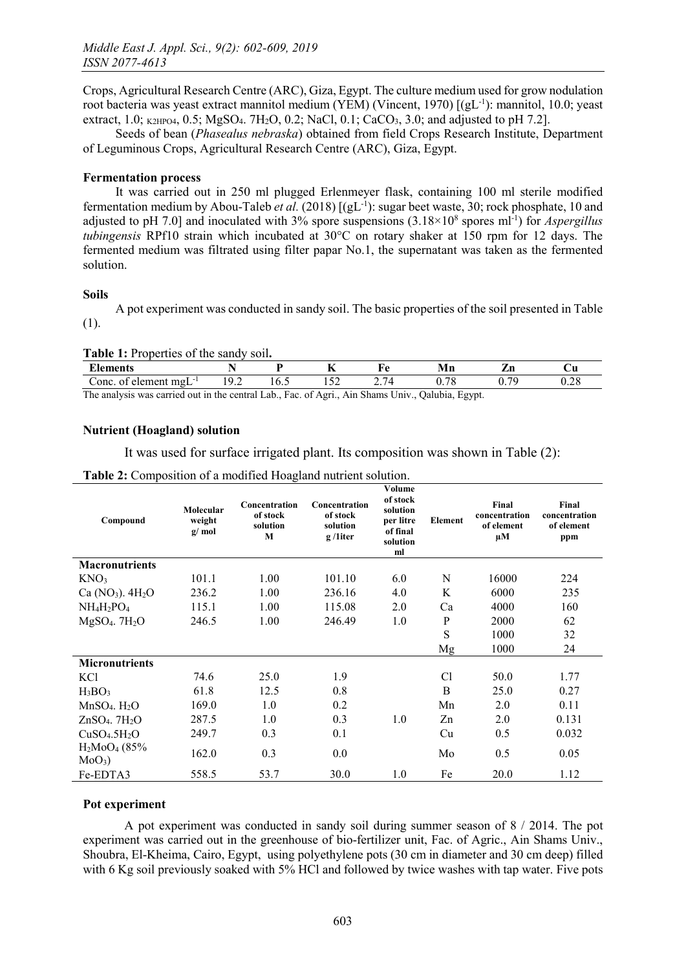Crops, Agricultural Research Centre (ARC), Giza, Egypt. The culture medium used for grow nodulation root bacteria was yeast extract mannitol medium (YEM) (Vincent, 1970) [(gL<sup>-1</sup>): mannitol, 10.0; yeast extract, 1.0; K2HPO4, 0.5; MgSO4. 7H<sub>2</sub>O, 0.2; NaCl, 0.1; CaCO<sub>3</sub>, 3.0; and adjusted to pH 7.21.

Seeds of bean (*Phasealus nebraska*) obtained from field Crops Research Institute, Department of Leguminous Crops, Agricultural Research Centre (ARC), Giza, Egypt.

## Fermentation process

It was carried out in 250 ml plugged Erlenmeyer flask, containing 100 ml sterile modified fermentation medium by Abou-Taleb et al. (2018) [(gL<sup>-1</sup>): sugar beet waste, 30; rock phosphate, 10 and adjusted to pH 7.0] and inoculated with 3% spore suspensions  $(3.18 \times 10^8 \text{ spores ml}^{-1})$  for *Aspergillus tubingensis* RPf10 strain which incubated at 30°C on rotary shaker at 150 rpm for 12 days. The fermented medium was filtrated using filter papar No.1, the supernatant was taken as the fermented solution.

#### Soils

A pot experiment was conducted in sandy soil. The basic properties of the soil presented in Table (1).

| Table 1: Properties of the sandy soil. |  |  |
|----------------------------------------|--|--|
|----------------------------------------|--|--|

| $\sim$<br>lamanta                     |                  |      |               | e                      | AV L LE                   | -              | ים "              |
|---------------------------------------|------------------|------|---------------|------------------------|---------------------------|----------------|-------------------|
| mgL<br>`onc<br>nent :<br>$\mathbf{H}$ | $\Omega$<br>17.L | 10.5 | $\sim$ $\sim$ | <u>.</u>               | $\sim$ $\sim$ $\sim$<br>Ő | $\overline{a}$ | $\bigcap$<br>∪.∠∪ |
| <b>TP1.</b>                           |                  |      |               | $\cdot$ $\sim$ 1<br>-- | $\sim$<br>.               |                |                   |

The analysis was carried out in the central Lab., Fac. of Agri., Ain Shams Univ., Qalubia, Egypt.

## Nutrient (Hoagland) solution

It was used for surface irrigated plant. Its composition was shown in Table (2):

|  |  |  |  |  |  |  | Table 2: Composition of a modified Hoagland nutrient solution. |  |  |
|--|--|--|--|--|--|--|----------------------------------------------------------------|--|--|
|--|--|--|--|--|--|--|----------------------------------------------------------------|--|--|

| Compound                             | Molecular<br>weight<br>g/mol | Concentration<br>of stock<br>solution<br>M | Concentration<br>of stock<br>solution<br>$g/1$ iter | Volume<br>of stock<br>solution<br>per litre<br>of final<br>solution<br>ml | Element   | Final<br>concentration<br>of element<br>$\mu$ M | Final<br>concentration<br>of element<br>ppm |
|--------------------------------------|------------------------------|--------------------------------------------|-----------------------------------------------------|---------------------------------------------------------------------------|-----------|-------------------------------------------------|---------------------------------------------|
| <b>Macronutrients</b>                |                              |                                            |                                                     |                                                                           |           |                                                 |                                             |
| KNO <sub>3</sub>                     | 101.1                        | 1.00                                       | 101.10                                              | 6.0                                                                       | N         | 16000                                           | 224                                         |
| $Ca (NO3)$ , $4H2O$                  | 236.2                        | 1.00                                       | 236.16                                              | 4.0                                                                       | K         | 6000                                            | 235                                         |
| $NH_4H_2PO_4$                        | 115.1                        | 1.00                                       | 115.08                                              | 2.0                                                                       | Ca        | 4000                                            | 160                                         |
| $MgSO4$ . 7 $H2O$                    | 246.5                        | 1.00                                       | 246.49                                              | 1.0                                                                       | ${\bf P}$ | 2000                                            | 62                                          |
|                                      |                              |                                            |                                                     |                                                                           | S         | 1000                                            | 32                                          |
|                                      |                              |                                            |                                                     |                                                                           | Mg        | 1000                                            | 24                                          |
| <b>Micronutrients</b>                |                              |                                            |                                                     |                                                                           |           |                                                 |                                             |
| KC <sub>1</sub>                      | 74.6                         | 25.0                                       | 1.9                                                 |                                                                           | Cl        | 50.0                                            | 1.77                                        |
| $H_3BO_3$                            | 61.8                         | 12.5                                       | 0.8                                                 |                                                                           | B         | 25.0                                            | 0.27                                        |
| $MnSO4$ . $H2O$                      | 169.0                        | 1.0                                        | 0.2                                                 |                                                                           | Mn        | 2.0                                             | 0.11                                        |
| $ZnSO4$ . 7 $H2O$                    | 287.5                        | 1.0                                        | 0.3                                                 | 1.0                                                                       | Zn        | 2.0                                             | 0.131                                       |
| CuSO <sub>4</sub> .5H <sub>2</sub> O | 249.7                        | 0.3                                        | 0.1                                                 |                                                                           | Cu        | 0.5                                             | 0.032                                       |
| $H_2MOQ_4$ (85%<br>$MoO3$ )          | 162.0                        | 0.3                                        | 0.0                                                 |                                                                           | Mo        | 0.5                                             | 0.05                                        |
| Fe-EDTA3                             | 558.5                        | 53.7                                       | 30.0                                                | 1.0                                                                       | Fe        | 20.0                                            | 1.12                                        |

## Pot experiment

A pot experiment was conducted in sandy soil during summer season of 8 / 2014. The pot experiment was carried out in the greenhouse of bio-fertilizer unit, Fac. of Agric., Ain Shams Univ., Shoubra, El-Kheima, Cairo, Egypt, using polyethylene pots (30 cm in diameter and 30 cm deep) filled with 6 Kg soil previously soaked with 5% HCl and followed by twice washes with tap water. Five pots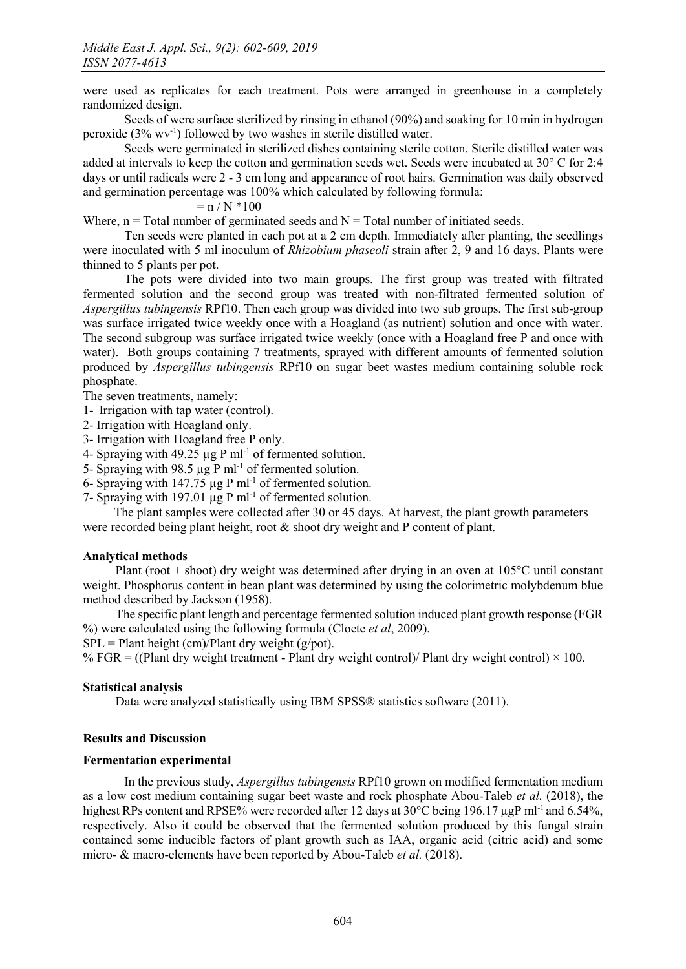were used as replicates for each treatment. Pots were arranged in greenhouse in a completely randomized design.

Seeds of were surface sterilized by rinsing in ethanol (90%) and soaking for 10 min in hydrogen peroxide (3% wv<sup>-1</sup>) followed by two washes in sterile distilled water.

Seeds were germinated in sterilized dishes containing sterile cotton. Sterile distilled water was added at intervals to keep the cotton and germination seeds wet. Seeds were incubated at 30° C for 2:4 days or until radicals were 2 - 3 cm long and appearance of root hairs. Germination was daily observed and germination percentage was 100% which calculated by following formula:

$$
= n / N * 100
$$

Where,  $n = Total number of germinated seeds and N = Total number of initiated seeds.$ 

Ten seeds were planted in each pot at a 2 cm depth. Immediately after planting, the seedlings were inoculated with 5 ml inoculum of *Rhizobium phaseoli* strain after 2, 9 and 16 days. Plants were thinned to 5 plants per pot.

The pots were divided into two main groups. The first group was treated with filtrated fermented solution and the second group was treated with non-filtrated fermented solution of *Aspergillus tubingensis* RPf10. Then each group was divided into two sub groups. The first sub-group was surface irrigated twice weekly once with a Hoagland (as nutrient) solution and once with water. The second subgroup was surface irrigated twice weekly (once with a Hoagland free P and once with water). Both groups containing 7 treatments, sprayed with different amounts of fermented solution produced by *Aspergillus tubingensis* RPf10 on sugar beet wastes medium containing soluble rock phosphate.

The seven treatments, namely:

- 1- Irrigation with tap water (control).
- 2- Irrigation with Hoagland only.
- 3- Irrigation with Hoagland free P only.
- 4- Spraying with  $49.25 \mu g$  P ml<sup>-1</sup> of fermented solution.
- 5- Spraying with 98.5  $\mu$ g P ml<sup>-1</sup> of fermented solution.
- 6- Spraying with 147.75  $\mu$ g P ml<sup>-1</sup> of fermented solution.
- 7- Spraying with  $197.01 \mu g$  P ml<sup>-1</sup> of fermented solution.

The plant samples were collected after 30 or 45 days. At harvest, the plant growth parameters were recorded being plant height, root  $\&$  shoot dry weight and P content of plant.

## Analytical methods

Plant (root + shoot) dry weight was determined after drying in an oven at  $105^{\circ}$ C until constant weight. Phosphorus content in bean plant was determined by using the colorimetric molybdenum blue method described by Jackson (1958).

The specific plant length and percentage fermented solution induced plant growth response (FGR %) were calculated using the following formula (Cloete *et al*, 2009).

 $SPL = Plant height (cm)/Plant$  dry weight (g/pot).

% FGR = ((Plant dry weight treatment - Plant dry weight control)/ Plant dry weight control)  $\times$  100.

#### Statistical analysis

Data were analyzed statistically using IBM SPSS® statistics software (2011).

#### Results and Discussion

#### Fermentation experimental

In the previous study, *Aspergillus tubingensis* RPf10 grown on modified fermentation medium as a low cost medium containing sugar beet waste and rock phosphate Abou-Taleb *et al.* (2018), the highest RPs content and RPSE% were recorded after 12 days at 30°C being 196.17 µgP ml<sup>-1</sup> and 6.54%, respectively. Also it could be observed that the fermented solution produced by this fungal strain contained some inducible factors of plant growth such as IAA, organic acid (citric acid) and some micro- & macro-elements have been reported by Abou-Taleb *et al.* (2018).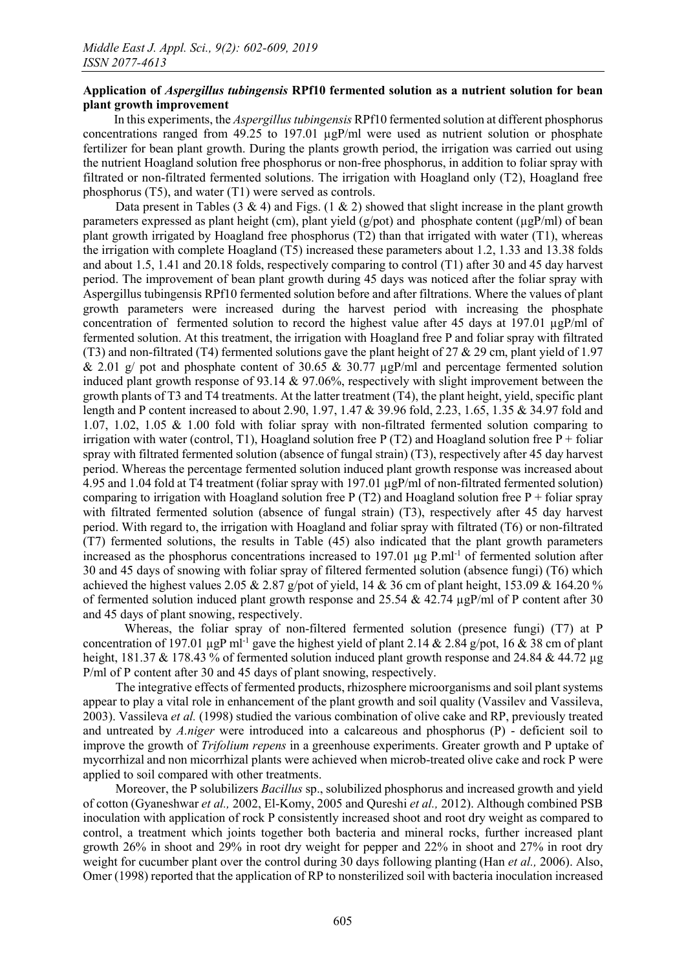## Application of *Aspergillus tubingensis* RPf10 fermented solution as a nutrient solution for bean plant growth improvement

In this experiments, the *Aspergillustubingensis* RPf10 fermented solution at different phosphorus concentrations ranged from 49.25 to 197.01 µgP/ml were used as nutrient solution or phosphate fertilizer for bean plant growth. During the plants growth period, the irrigation was carried out using the nutrient Hoagland solution free phosphorus or non-free phosphorus, in addition to foliar spray with filtrated or non-filtrated fermented solutions. The irrigation with Hoagland only (T2), Hoagland free phosphorus (T5), and water (T1) were served as controls.

Data present in Tables (3 & 4) and Figs. (1 & 2) showed that slight increase in the plant growth parameters expressed as plant height (cm), plant yield  $(g<sub>/</sub>pot)$  and phosphate content ( $\mu gP/ml$ ) of bean plant growth irrigated by Hoagland free phosphorus (T2) than that irrigated with water (T1), whereas the irrigation with complete Hoagland (T5) increased these parameters about 1.2, 1.33 and 13.38 folds and about 1.5, 1.41 and 20.18 folds, respectively comparing to control (T1) after 30 and 45 day harvest period. The improvement of bean plant growth during 45 days was noticed after the foliar spray with Aspergillus tubingensis RPf10 fermented solution before and after filtrations. Where the values of plant growth parameters were increased during the harvest period with increasing the phosphate concentration of fermented solution to record the highest value after 45 days at 197.01  $\mu$ gP/ml of fermented solution. At this treatment, the irrigation with Hoagland free P and foliar spray with filtrated (T3) and non-filtrated (T4) fermented solutions gave the plant height of 27  $& 29$  cm, plant yield of 1.97 & 2.01 g/ pot and phosphate content of 30.65 & 30.77  $\mu$ gP/ml and percentage fermented solution induced plant growth response of 93.14 & 97.06%, respectively with slight improvement between the growth plants of T3 and T4 treatments. At the latter treatment (T4), the plant height, yield, specific plant length and P content increased to about 2.90, 1.97, 1.47 & 39.96 fold, 2.23, 1.65, 1.35 & 34.97 fold and 1.07, 1.02, 1.05 & 1.00 fold with foliar spray with non-filtrated fermented solution comparing to irrigation with water (control, T1). Hoagland solution free  $P(T2)$  and Hoagland solution free  $P +$  foliar spray with filtrated fermented solution (absence of fungal strain) (T3), respectively after 45 day harvest period. Whereas the percentage fermented solution induced plant growth response was increased about 4.95 and 1.04 fold at T4 treatment (foliar spray with 197.01 µgP/ml of non-filtrated fermented solution) comparing to irrigation with Hoagland solution free P (T2) and Hoagland solution free  $P +$  foliar spray with filtrated fermented solution (absence of fungal strain) (T3), respectively after 45 day harvest period. With regard to, the irrigation with Hoagland and foliar spray with filtrated (T6) or non-filtrated (T7) fermented solutions, the results in Table (45) also indicated that the plant growth parameters increased as the phosphorus concentrations increased to 197.01 µg P.ml-1 of fermented solution after 30 and 45 days of snowing with foliar spray of filtered fermented solution (absence fungi) (T6) which achieved the highest values 2.05  $\&$  2.87 g/pot of yield, 14  $\&$  36 cm of plant height, 153.09  $\&$  164.20 % of fermented solution induced plant growth response and 25.54 & 42.74 µgP/ml of P content after 30 and 45 days of plant snowing, respectively.

Whereas, the foliar spray of non-filtered fermented solution (presence fungi) (T7) at P concentration of 197.01  $\mu$ gP m<sup>-1</sup> gave the highest yield of plant 2.14 & 2.84 g/pot, 16 & 38 cm of plant height, 181.37 & 178.43 % of fermented solution induced plant growth response and 24.84 & 44.72 µg P/ml of P content after 30 and 45 days of plant snowing, respectively.

The integrative effects of fermented products, rhizosphere microorganisms and soil plant systems appear to play a vital role in enhancement of the plant growth and soil quality (Vassilev and Vassileva, 2003). Vassileva *et al.* (1998) studied the various combination of olive cake and RP, previously treated and untreated by *A.niger* were introduced into a calcareous and phosphorus (P) - deficient soil to improve the growth of *Trifolium repens* in a greenhouse experiments. Greater growth and P uptake of mycorrhizal and non micorrhizal plants were achieved when microb-treated olive cake and rock P were applied to soil compared with other treatments.

Moreover, the P solubilizers *Bacillus* sp., solubilized phosphorus and increased growth and yield of cotton (Gyaneshwar *et al.,* 2002, El-Komy, 2005 and Qureshi *et al.,* 2012). Although combined PSB inoculation with application of rock P consistently increased shoot and root dry weight as compared to control, a treatment which joints together both bacteria and mineral rocks, further increased plant growth 26% in shoot and 29% in root dry weight for pepper and 22% in shoot and 27% in root dry weight for cucumber plant over the control during 30 days following planting (Han *et al.,* 2006). Also, Omer (1998) reported that the application of RP to nonsterilized soil with bacteria inoculation increased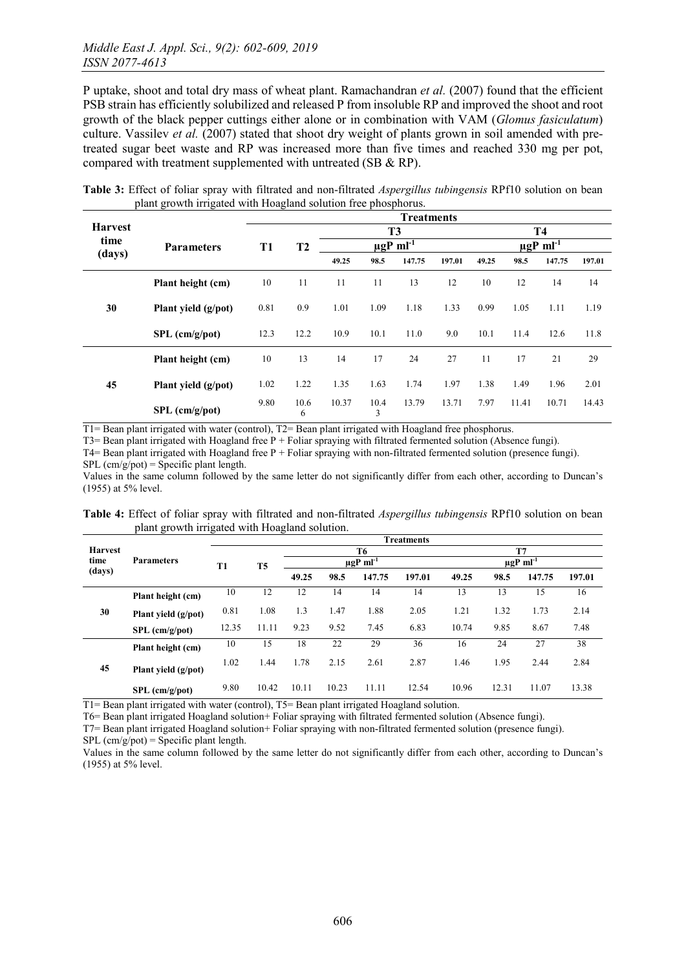P uptake, shoot and total dry mass of wheat plant. Ramachandran *et al.* (2007) found that the efficient PSB strain has efficiently solubilized and released P from insoluble RP and improved the shoot and root growth of the black pepper cuttings either alone or in combination with VAM (*Glomus fasiculatum*) culture. Vassilev *et al.* (2007) stated that shoot dry weight of plants grown in soil amended with pretreated sugar beet waste and RP was increased more than five times and reached 330 mg per pot, compared with treatment supplemented with untreated (SB & RP).

Table 3: Effect of foliar spray with filtrated and non-filtrated *Aspergillus tubingensis* RPf10 solution on bean plant growth irrigated with Hoagland solution free phosphorus.

|                |                        | <b>Treatments</b> |                |                           |           |        |        |                           |                |        |        |  |
|----------------|------------------------|-------------------|----------------|---------------------------|-----------|--------|--------|---------------------------|----------------|--------|--------|--|
| <b>Harvest</b> |                        |                   | T <sub>3</sub> |                           |           |        |        |                           | T <sub>4</sub> |        |        |  |
| time           | <b>Parameters</b>      | T1                | T <sub>2</sub> | $\mu gP$ ml <sup>-1</sup> |           |        |        | $\mu$ gP ml <sup>-1</sup> |                |        |        |  |
| (days)         |                        |                   |                | 49.25                     | 98.5      | 147.75 | 197.01 | 49.25                     | 98.5           | 147.75 | 197.01 |  |
|                | Plant height (cm)      | 10                | 11             | 11                        | 11        | 13     | 12     | 10                        | 12             | 14     | 14     |  |
| 30             | Plant yield $(g$ /pot) | 0.81              | 0.9            | 1.01                      | 1.09      | 1.18   | 1.33   | 0.99                      | 1.05           | 1.11   | 1.19   |  |
|                | $SPL$ (cm/g/pot)       | 12.3              | 12.2           | 10.9                      | 10.1      | 11.0   | 9.0    | 10.1                      | 11.4           | 12.6   | 11.8   |  |
|                | Plant height (cm)      | 10                | 13             | 14                        | 17        | 24     | 27     | 11                        | 17             | 21     | 29     |  |
| 45             | Plant yield $(g$ /pot) | 1.02              | 1.22           | 1.35                      | 1.63      | 1.74   | 1.97   | 1.38                      | 1.49           | 1.96   | 2.01   |  |
|                | SPL (cm/g/pot)         | 9.80              | 10.6<br>6      | 10.37                     | 10.4<br>3 | 13.79  | 13.71  | 7.97                      | 11.41          | 10.71  | 14.43  |  |

T1= Bean plant irrigated with water (control), T2= Bean plant irrigated with Hoagland free phosphorus.

T3= Bean plant irrigated with Hoagland free  $P$  + Foliar spraying with filtrated fermented solution (Absence fungi).

T4= Bean plant irrigated with Hoagland free P + Foliar spraying with non-filtrated fermented solution (presence fungi).

 $SPL$  (cm/g/pot) = Specific plant length.

Values in the same column followed by the same letter do not significantly differ from each other, according to Duncan's (1955) at 5% level.

Table 4: Effect of foliar spray with filtrated and non-filtrated *Aspergillus tubingensis* RPf10 solution on bean plant growth irrigated with Hoagland solution.

| <b>Harvest</b><br>time<br>(days) |                     | <b>Treatments</b> |                |       |       |                           |        |                           |       |        |        |  |
|----------------------------------|---------------------|-------------------|----------------|-------|-------|---------------------------|--------|---------------------------|-------|--------|--------|--|
|                                  | <b>Parameters</b>   |                   |                |       |       | T6                        |        | T7                        |       |        |        |  |
|                                  |                     | <b>T1</b>         | T <sub>5</sub> |       |       | $\mu$ gP ml <sup>-1</sup> |        | $\mu$ gP ml <sup>-1</sup> |       |        |        |  |
|                                  |                     |                   |                | 49.25 | 98.5  | 147.75                    | 197.01 | 49.25                     | 98.5  | 147.75 | 197.01 |  |
| 30                               | Plant height (cm)   | 10                | 12             | 12    | 14    | 14                        | 14     | 13                        | 13    | 15     | 16     |  |
|                                  | Plant yield (g/pot) | 0.81              | 1.08           | 1.3   | 1.47  | 1.88                      | 2.05   | 1.21                      | 1.32  | 1.73   | 2.14   |  |
|                                  | $SPL$ (cm/g/pot)    | 12.35             | 11.11          | 9.23  | 9.52  | 7.45                      | 6.83   | 10.74                     | 9.85  | 8.67   | 7.48   |  |
| 45                               | Plant height (cm)   | 10                | 15             | 18    | 22    | 29                        | 36     | 16                        | 24    | 27     | 38     |  |
|                                  | Plant yield (g/pot) | 1.02              | 1.44           | 1.78  | 2.15  | 2.61                      | 2.87   | 1.46                      | 1.95  | 2.44   | 2.84   |  |
|                                  | $SPL$ (cm/g/pot)    | 9.80              | 10.42          | 10.11 | 10.23 | 11.11                     | 12.54  | 10.96                     | 12.31 | 11.07  | 13.38  |  |

T1= Bean plant irrigated with water (control), T5= Bean plant irrigated Hoagland solution.

T6= Bean plant irrigated Hoagland solution+ Foliar spraying with filtrated fermented solution (Absence fungi).

T7= Bean plant irrigated Hoagland solution+ Foliar spraying with non-filtrated fermented solution (presence fungi).

 $SPL$  (cm/g/pot) = Specific plant length.

Values in the same column followed by the same letter do not significantly differ from each other, according to Duncan's (1955) at 5% level.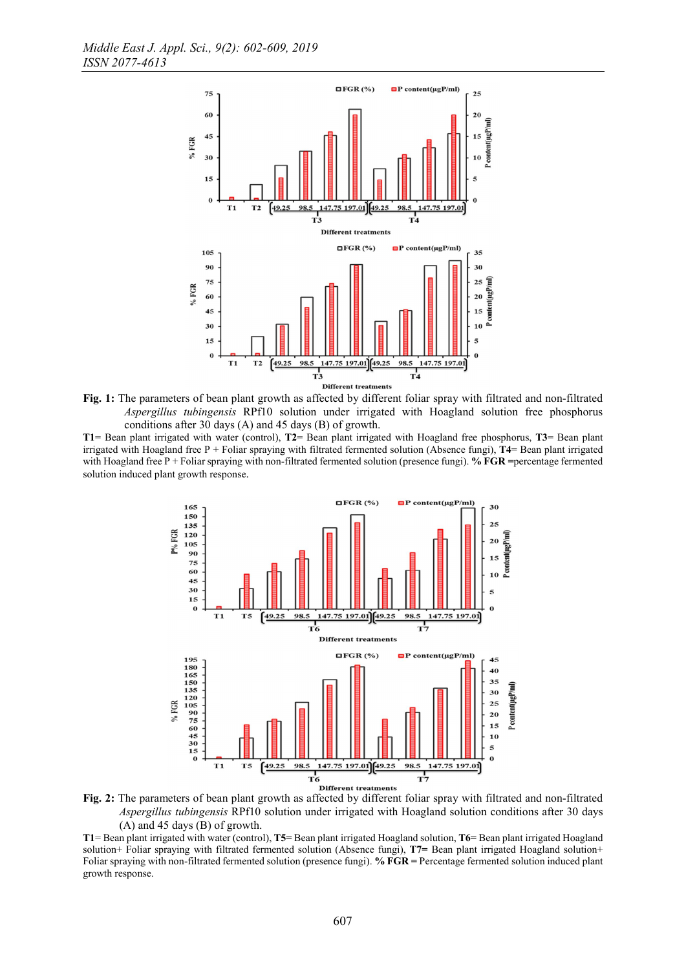

Fig. 1: The parameters of bean plant growth as affected by different foliar spray with filtrated and non-filtrated *Aspergillus tubingensis* RPf10 solution under irrigated with Hoagland solution free phosphorus conditions after 30 days (A) and 45 days (B) of growth.

T1= Bean plant irrigated with water (control), T2= Bean plant irrigated with Hoagland free phosphorus, T3= Bean plant irrigated with Hoagland free P + Foliar spraying with filtrated fermented solution (Absence fungi),  $T =$  Bean plant irrigated with Hoagland free P + Foliar spraying with non-filtrated fermented solution (presence fungi). %  $\overline{FGR}$  =percentage fermented solution induced plant growth response.





T1= Bean plant irrigated with water (control), T5= Bean plant irrigated Hoagland solution, T6= Bean plant irrigated Hoagland solution+ Foliar spraying with filtrated fermented solution (Absence fungi), T7= Bean plant irrigated Hoagland solution+ Foliar spraying with non-filtrated fermented solution (presence fungi). % FGR = Percentage fermented solution induced plant growth response.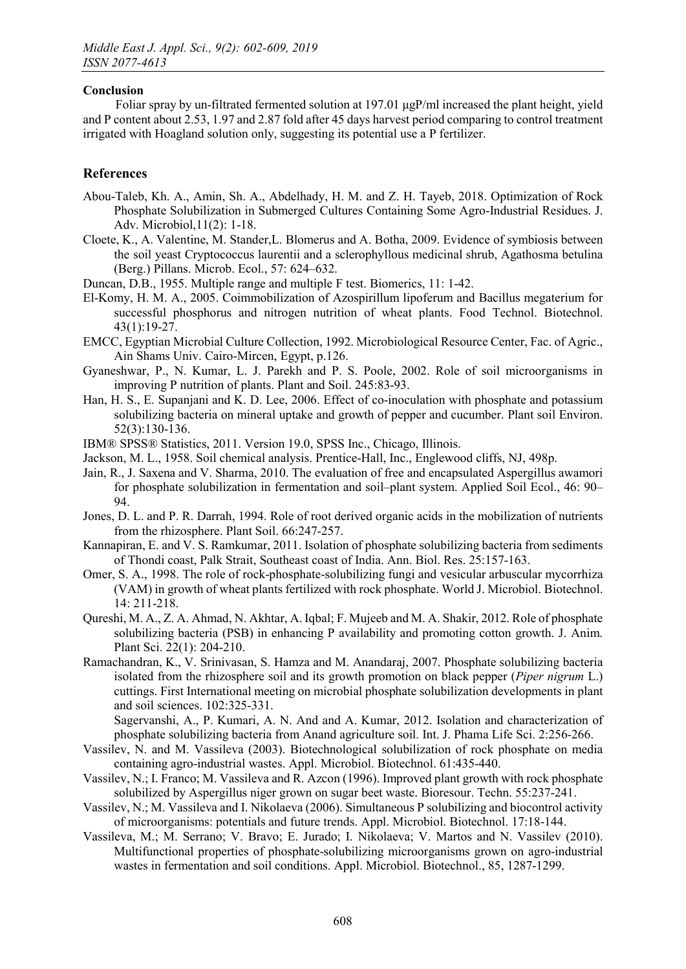## Conclusion

Foliar spray by un-filtrated fermented solution at 197.01 μgP/ml increased the plant height, yield and P content about 2.53, 1.97 and 2.87 fold after 45 days harvest period comparing to control treatment irrigated with Hoagland solution only, suggesting its potential use a P fertilizer.

# **References**

- Abou-Taleb, Kh. A., Amin, Sh. A., Abdelhady, H. M. and Z. H. Tayeb, 2018. Optimization of Rock Phosphate Solubilization in Submerged Cultures Containing Some Agro-Industrial Residues. J. Adv. Microbiol,11(2): 1-18.
- Cloete, K., A. Valentine, M. Stander,L. Blomerus and A. Botha, 2009. Evidence of symbiosis between the soil yeast Cryptococcus laurentii and a sclerophyllous medicinal shrub, Agathosma betulina (Berg.) Pillans. Microb. Ecol., 57: 624–632.
- Duncan, D.B., 1955. Multiple range and multiple F test. Biomerics, 11: 1-42.
- El-Komy, H. M. A., 2005. Coimmobilization of Azospirillum lipoferum and Bacillus megaterium for successful phosphorus and nitrogen nutrition of wheat plants. Food Technol. Biotechnol. 43(1):19-27.
- EMCC, Egyptian Microbial Culture Collection, 1992. Microbiological Resource Center, Fac. of Agric., Ain Shams Univ. Cairo-Mircen, Egypt, p.126.
- Gyaneshwar, P., N. Kumar, L. J. Parekh and P. S. Poole, 2002. Role of soil microorganisms in improving P nutrition of plants. Plant and Soil. 245:83-93.
- Han, H. S., E. Supanjani and K. D. Lee, 2006. Effect of co-inoculation with phosphate and potassium solubilizing bacteria on mineral uptake and growth of pepper and cucumber. Plant soil Environ. 52(3):130-136.
- IBM® SPSS® Statistics, 2011. Version 19.0, SPSS Inc., Chicago, Illinois.
- Jackson, M. L., 1958. Soil chemical analysis. Prentice-Hall, Inc., Englewood cliffs, NJ, 498p.
- Jain, R., J. Saxena and V. Sharma, 2010. The evaluation of free and encapsulated Aspergillus awamori for phosphate solubilization in fermentation and soil–plant system. Applied Soil Ecol., 46: 90– 94.
- Jones, D. L. and P. R. Darrah, 1994. Role of root derived organic acids in the mobilization of nutrients from the rhizosphere. Plant Soil. 66:247-257.
- Kannapiran, E. and V. S. Ramkumar, 2011. Isolation of phosphate solubilizing bacteria from sediments of Thondi coast, Palk Strait, Southeast coast of India. Ann. Biol. Res. 25:157-163.
- Omer, S. A., 1998. The role of rock-phosphate-solubilizing fungi and vesicular arbuscular mycorrhiza (VAM) in growth of wheat plants fertilized with rock phosphate. World J. Microbiol. Biotechnol. 14: 211-218.
- Qureshi, M. A., Z. A. Ahmad, N. Akhtar, A. Iqbal; F. Mujeeb and M. A. Shakir, 2012. Role of phosphate solubilizing bacteria (PSB) in enhancing P availability and promoting cotton growth. J. Anim. Plant Sci. 22(1): 204-210.
- Ramachandran, K., V. Srinivasan, S. Hamza and M. Anandaraj, 2007. Phosphate solubilizing bacteria isolated from the rhizosphere soil and its growth promotion on black pepper (*Piper nigrum* L.) cuttings. First International meeting on microbial phosphate solubilization developments in plant and soil sciences. 102:325-331.

Sagervanshi, A., P. Kumari, A. N. And and A. Kumar, 2012. Isolation and characterization of phosphate solubilizing bacteria from Anand agriculture soil. Int. J. Phama Life Sci. 2:256-266.

- Vassilev, N. and M. Vassileva (2003). Biotechnological solubilization of rock phosphate on media containing agro-industrial wastes. Appl. Microbiol. Biotechnol. 61:435-440.
- Vassilev, N.; I. Franco; M. Vassileva and R. Azcon (1996). Improved plant growth with rock phosphate solubilized by Aspergillus niger grown on sugar beet waste. Bioresour. Techn. 55:237-241.
- Vassilev, N.; M. Vassileva and I. Nikolaeva (2006). Simultaneous P solubilizing and biocontrol activity of microorganisms: potentials and future trends. Appl. Microbiol. Biotechnol. 17:18-144.
- Vassileva, M.; M. Serrano; V. Bravo; E. Jurado; I. Nikolaeva; V. Martos and N. Vassilev (2010). Multifunctional properties of phosphate-solubilizing microorganisms grown on agro-industrial wastes in fermentation and soil conditions. Appl. Microbiol. Biotechnol., 85, 1287-1299.